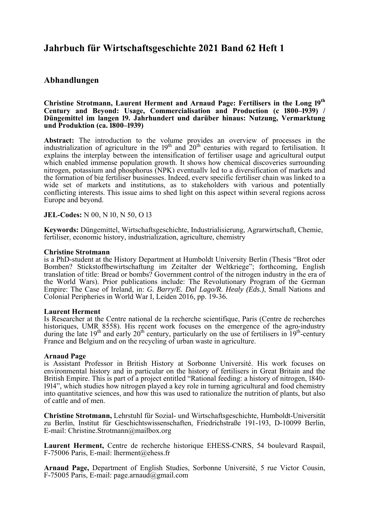# **Jahrbuch für Wirtschaftsgeschichte 2021 Band 62 Heft 1**

## **Abhandlungen**

#### **Christine Strotmann, Laurent Herment and Arnaud Page: Fertilisers in the Long 19th Century and Beyond: Usage, Commercialisation and Production (c 1800–1939)** / Düngemittel im langen 19. Jahrhundert und darüber hinaus: Nutzung, Vermarktung **und Produktion (ca. 1800–1939)**

**Abstract:** The introduction to the volume provides an overview of processes in the industrialization of agriculture in the  $19<sup>th</sup>$  and  $20<sup>th</sup>$  centuries with regard to fertilisation. It explains the interplay between the intensification of fertiliser usage and agricultural output which enabled immense population growth. It shows how chemical discoveries surrounding nitrogen, potassium and phosphorus (NPK) eventually led to a diversification of markets and the formation of big fertiliser businesses. Indeed, every specific fertiliser chain was linked to a wide set of markets and institutions, as to stakeholders with various and potentially conflicting interests. This issue aims to shed light on this aspect within several regions across Europe and beyond.

### **JEL-Codes:** N 00, N 10, N 50, O 13

**Keywords:** Düngemittel, Wirtschaftsgeschichte, Industrialisierung, Agrarwirtschaft, Chemie, fertiliser, economic history, industrialization, agriculture, chemistry

#### **Christine Strotmann**

is a PhD-student at the History Department at Humboldt University Berlin (Thesis "Brot oder Bomben? Stickstoffbewirtschaftung im Zeitalter der Weltkriege"; forthcoming, English translation of title: Bread or bombs? Government control of the nitrogen industry in the era of the World Wars). Prior publications include: The Revolutionary Program of the German Empire: The Case of Ireland, in: *G. Barry/E. Dal Lago/R. Healy (Eds.)*, Small Nations and Colonial Peripheries in World War I, Leiden 2016, pp. 19-36.

#### **Laurent Herment**

Is Researcher at the Centre national de la recherche scientifique, Paris (Centre de recherches historiques, UMR 8558). His recent work focuses on the emergence of the agro-industry during the late 19<sup>th</sup> and early 20<sup>th</sup> century, particularly on the use of fertilisers in  $19^{th}$ -century France and Belgium and on the recycling of urban waste in agriculture.

#### **Arnaud Page**

is Assistant Professor in British History at Sorbonne Université. His work focuses on environmental history and in particular on the history of fertilisers in Great Britain and the British Empire. This is part of a project entitled "Rational feeding: a history of nitrogen, 1840-1914", which studies how nitrogen played a key role in turning agricultural and food chemistry into quantitative sciences, and how this was used to rationalize the nutrition of plants, but also of cattle and of men.

**Christine Strotmann,** Lehrstuhl für Sozial- und Wirtschaftsgeschichte, Humboldt-Universität zu Berlin, Institut für Geschichtswissenschaften, Friedrichstraße 191-193, D-10099 Berlin, E-mail: Christine.Strotmann@mailbox.org

Laurent Herment, Centre de recherche historique EHESS-CNRS, 54 boulevard Raspail, F-75006 Paris, E-mail: lherment@ehess.fr

**Arnaud Page, Department of English Studies, Sorbonne Université, 5 rue Victor Cousin,** F-75005 Paris, E-mail: page.arnaud@gmail.com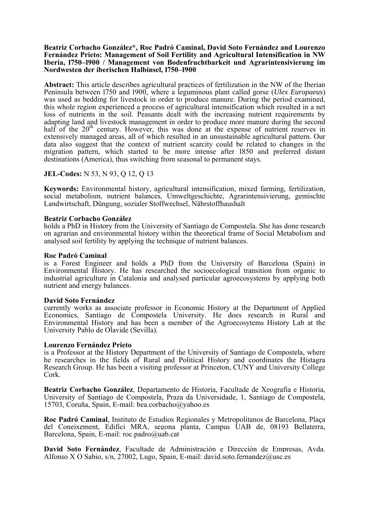#### **Beatriz Corbacho González\*, Roc Padró Caminal, David Soto Fernández and Lourenzo Fernández Prieto: Management of Soil Fertility and Agricultural Intensification in NW Iberia, 1750–1900 / Management von Bodenfruchtbarkeit und Agrarintensivierung im** Nordwesten der iberischen Halbinsel, 1750–1900

**Abstract:** This article describes agricultural practices of fertilization in the NW of the Iberian Peninsula between 1750 and 1900, where a leguminous plant called gorse (*Ulex Europaeus*) was used as bedding for livestock in order to produce manure. During the period examined, this whole region experienced a process of agricultural intensification which resulted in a net loss of nutrients in the soil. Peasants dealt with the increasing nutrient requirements by adapting land and livestock management in order to produce more manure during the second half of the  $20<sup>th</sup>$  century. However, this was done at the expense of nutrient reserves in extensively managed areas, all of which resulted in an unsustainable agricultural pattern. Our data also suggest that the context of nutrient scarcity could be related to changes in the migration pattern, which started to be more intense after 1850 and preferred distant destinations (America), thus switching from seasonal to permanent stays.

### **JEL-Codes:** N 53, N 93, Q 12, Q 13

**Keywords:** Environmental history, agricultural intensification, mixed farming, fertilization, social metabolism, nutrient balances, Umweltgeschichte, Agrarintensivierung, gemischte Landwirtschaft, Düngung, sozialer Stoffwechsel, Nährstoffhaushalt

#### **Beatriz Corbacho González**

holds a PhD in History from the University of Santiago de Compostela. She has done research on agrarian and environmental history within the theoretical frame of Social Metabolism and analysed soil fertility by applying the technique of nutrient balances.

**Roc Padró Caminal** is a Forest Engineer and holds a PhD from the University of Barcelona (Spain) in Environmental History. He has researched the socioecological transition from organic to industrial agriculture in Catalonia and analysed particular agroecosystems by applying both nutrient and energy balances.

#### **David Soto Fernández**

currently works as associate professor in Economic History at the Department of Applied Economics, Santiago de Compostela University. He does research in Rural and Environmental History and has been a member of the Agroecosytems History Lab at the University Pablo de Olavide (Sevilla).

#### **Lourenzo Fernández Prieto**

is a Professor at the History Department of the University of Santiago de Compostela, where he researches in the fields of Rural and Political History and coordinates the Histagra Research Group. He has been a visiting professor at Princeton, CUNY and University College Cork.

**Beatriz Corbacho González**, Departamento de Historia, Facultade de Xeografía e Historia, University of Santiago de Compostela, Praza da Universidade, 1, Santiago de Compostela, 15703, Coruña, Spain, E-mail: bea.corbacho@yahoo.es

**Roc Padró Caminal**, Instituto de Estudios Regionales y Metropolitanos de Barcelona, Plaça del Coneixement, Edifici MRA, segona planta, Campus UAB de, 08193 Bellaterra, Barcelona, Spain, E-mail: roc.padro@uab.cat

**David Soto Fernández**, Facultade de Administración e Dirección de Empresas, Avda. Alfonso X O Sabio, s/n, 27002, Lugo, Spain, E-mail: david.soto.fernandez@usc.es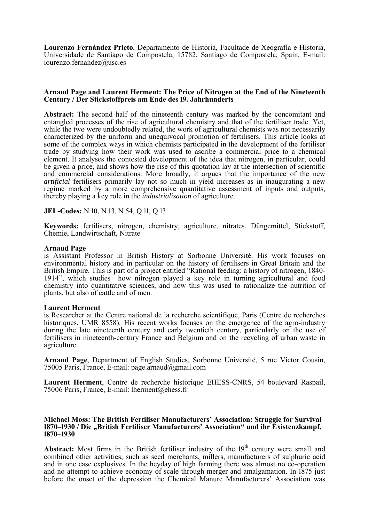**Lourenzo Fernández Prieto**, Departamento de Historia, Facultade de Xeografía e Historia, Universidade de Santiago de Compostela, 15782, Santiago de Compostela, Spain, E-mail: lourenzo.fernandez@usc.es

### **Arnaud Page and Laurent Herment: The Price of Nitrogen at the End of the Nineteenth**  Century / Der Stickstoffpreis am Ende des 19. Jahrhunderts

**Abstract:** The second half of the nineteenth century was marked by the concomitant and entangled processes of the rise of agricultural chemistry and that of the fertiliser trade. Yet, while the two were undoubtedly related, the work of agricultural chemists was not necessarily characterized by the uniform and unequivocal promotion of fertilisers. This article looks at some of the complex ways in which chemists participated in the development of the fertiliser trade by studying how their work was used to ascribe a commercial price to a chemical element. It analyses the contested development of the idea that nitrogen, in particular, could be given a price, and shows how the rise of this quotation lay at the intersection of scientific and commercial considerations. More broadly, it argues that the importance of the new *artificial* fertilisers primarily lay not so much in yield increases as in inaugurating a new regime marked by a more comprehensive quantitative assessment of inputs and outputs, thereby playing a key role in the *industrialisation* of agriculture.

### **JEL-Codes:** N 10, N 13, N 54, Q 11, Q 13

**Keywords:** fertilisers, nitrogen, chemistry, agriculture, nitrates, Düngemittel, Stickstoff, Chemie, Landwirtschaft, Nitrate

#### **Arnaud Page**

is Assistant Professor in British History at Sorbonne Université. His work focuses on environmental history and in particular on the history of fertilisers in Great Britain and the British Empire. This is part of a project entitled "Rational feeding: a history of nitrogen, 1840- 1914", which studies how nitrogen played a key role in turning agricultural and food chemistry into quantitative sciences, and how this was used to rationalize the nutrition of plants, but also of cattle and of men.

#### **Laurent Herment**

is Researcher at the Centre national de la recherche scientifique, Paris (Centre de recherches historiques, UMR 8558). His recent works focuses on the emergence of the agro-industry during the late nineteenth century and early twentieth century, particularly on the use of fertilisers in nineteenth-century France and Belgium and on the recycling of urban waste in agriculture.

**Arnaud Page**, Department of English Studies, Sorbonne Université, 5 rue Victor Cousin, 75005 Paris, France, E-mail: page.arnaud@gmail.com

Laurent Herment, Centre de recherche historique EHESS-CNRS, 54 boulevard Raspail, 75006 Paris, France, E-mail: lherment@ehess.fr

#### **Michael Moss: The British Fertiliser Manufacturers' Association: Struggle for Survival 1870–1930 / Die "British Fertiliser Manufacturers' Association" und ihr Existenzkampf, 1870–1930**

Abstract: Most firms in the British fertiliser industry of the 19<sup>th</sup> century were small and combined other activities, such as seed merchants, millers, manufacturers of sulphuric acid and in one case explosives. In the heyday of high farming there was almost no co-operation and no attempt to achieve economy of scale through merger and amalgamation. In 1875 just before the onset of the depression the Chemical Manure Manufacturers' Association was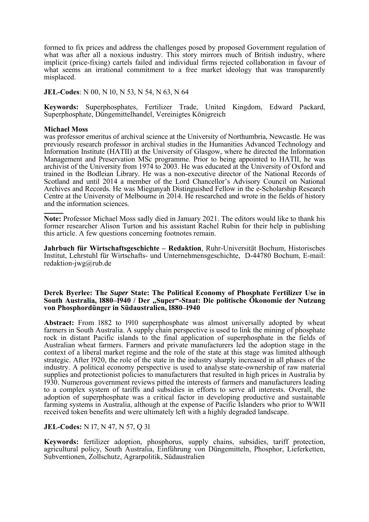formed to fix prices and address the challenges posed by proposed Government regulation of what was after all a noxious industry. This story mirrors much of British industry, where implicit (price-fixing) cartels failed and individual firms rejected collaboration in favour of what seems an irrational commitment to a free market ideology that was transparently misplaced.

**JEL-Codes**: N 00, N 10, N 53, N 54, N 63, N 64

**Keywords:** Superphosphates, Fertilizer Trade, United Kingdom, Edward Packard, Superphosphate, Düngemittelhandel, Vereinigtes Königreich

#### **Michael Moss**

was professor emeritus of archival science at the University of Northumbria, Newcastle. He was previously research professor in archival studies in the Humanities Advanced Technology and Information Institute (HATII) at the University of Glasgow, where he directed the Information Management and Preservation MSc programme. Prior to being appointed to HATII, he was archivist of the University from 1974 to 2003. He was educated at the University of Oxford and trained in the Bodleian Library. He was a non-executive director of the National Records of Scotland and until 2014 a member of the Lord Chancellor's Advisory Council on National Archives and Records. He was Miegunyah Distinguished Fellow in the e-Scholarship Research Centre at the University of Melbourne in 2014. He researched and wrote in the fields of history and the information sciences*.*

**Note:** Professor Michael Moss sadly died in January 2021. The editors would like to thank his former researcher Alison Turton and his assistant Rachel Rubin for their help in publishing this article. A few questions concerning footnotes remain.

**Jahrbuch für Wirtschaftsgeschichte – Redaktion**, Ruhr-Universität Bochum, Historisches Institut, Lehrstuhl für Wirtschafts- und Unternehmensgeschichte, D-44780 Bochum, E-mail: redaktion-jwg@rub.de

#### **Derek Byerlee: The** *Super* **State: The Political Economy of Phosphate Fertilizer Use in**  South Australia, 1880–1940 / Der "Super"-Staat: Die politische Ökonomie der Nutzung von Phosphordünger in Südaustralien, 1880–1940

**Abstract:** From 1882 to 1910 superphosphate was almost universally adopted by wheat farmers in South Australia. A supply chain perspective is used to link the mining of phosphate rock in distant Pacific islands to the final application of superphosphate in the fields of Australian wheat farmers. Farmers and private manufacturers led the adoption stage in the context of a liberal market regime and the role of the state at this stage was limited although strategic. After 1920, the role of the state in the industry sharply increased in all phases of the industry. A political economy perspective is used to analyse state-ownership of raw material supplies and protectionist policies to manufacturers that resulted in high prices in Australia by 1930. Numerous government reviews pitted the interests of farmers and manufacturers leading to a complex system of tariffs and subsidies in efforts to serve all interests. Overall, the adoption of superphosphate was a critical factor in developing productive and sustainable farming systems in Australia, although at the expense of Pacific Islanders who prior to WWII received token benefits and were ultimately left with a highly degraded landscape.

#### **JEL-Codes:** N 17, N 47, N 57, Q 31

**Keywords:** fertilizer adoption, phosphorus, supply chains, subsidies, tariff protection, agricultural policy, South Australia, Einführung von Düngemitteln, Phosphor, Lieferketten, Subventionen, Zollschutz, Agrarpolitik, Südaustralien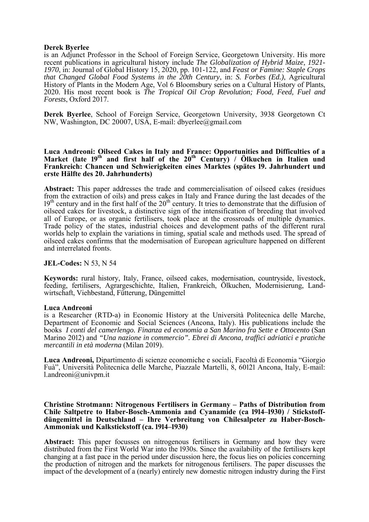#### **Derek Byerlee**

is an Adjunct Professor in the School of Foreign Service, Georgetown University. His more recent publications in agricultural history include *The Globalization of Hybrid Maize, 1921- 1970*, in: Journal of Global History 15, 2020, pp. 101-122, and *Feast or Famine: Staple Crops that Changed Global Food Systems in the 20th Century*, in: *S. Forbes (Ed.)*, Agricultural History of Plants in the Modern Age, Vol 6 Bloomsbury series on a Cultural History of Plants, 2020. His most recent book is *The Tropical Oil Crop Revolution; Food, Feed, Fuel and Forests*, Oxford 2017.

**Derek Byerlee**, School of Foreign Service, Georgetown University, 3938 Georgetown Ct NW, Washington, DC 20007, USA, E-mail: dbyerlee@gmail.com

#### **Luca Andreoni: Oilseed Cakes in Italy and France: Opportunities and Difficulties of a Market (late 19<sup>th</sup> and first half of the 20<sup>th</sup> Century) / Ölkuchen in Italien und Frankreich: Chancen und Schwierigkeiten eines Marktes (spätes ൫൳. Jahrhundert und erste Hälfte des 20. Jahrhunderts)**

**Abstract:** This paper addresses the trade and commercialisation of oilseed cakes (residues from the extraction of oils) and press cakes in Italy and France during the last decades of the  $19<sup>th</sup>$  century and in the first half of the  $20<sup>th</sup>$  century. It tries to demonstrate that the diffusion of oilseed cakes for livestock, a distinctive sign of the intensification of breeding that involved all of Europe, or as organic fertilisers, took place at the crossroads of multiple dynamics. Trade policy of the states, industrial choices and development paths of the different rural worlds help to explain the variations in timing, spatial scale and methods used. The spread of oilseed cakes confirms that the modernisation of European agriculture happened on different and interrelated fronts.

#### **JEL-Codes:** N 53, N 54

**Keywords:** rural history, Italy, France, oilseed cakes, modernisation, countryside, livestock, feeding, fertilisers, Agrargeschichte, Italien, Frankreich, Ölkuchen, Modernisierung, Landwirtschaft, Viehbestand, Fütterung, Düngemittel

#### **Luca Andreoni**

is a Researcher (RTD-a) in Economic History at the Università Politecnica delle Marche, Department of Economic and Social Sciences (Ancona, Italy). His publications include the books *I conti del camerlengo. Finanza ed economia a San Marino fra Sette e Ottocento* (San Marino 2012) and *"Una nazione in commercio". Ebrei di Ancona, traffici adriatici e pratiche mercantili in età moderna* (Milan 2019).

**Luca Andreoni,** Dipartimento di scienze economiche e sociali, Facoltà di Economia "Giorgio Fuà", Università Politecnica delle Marche, Piazzale Martelli, 8, 60121 Ancona, Italy, E-mail: l.andreoni@univpm.it

**Christine Strotmann: Nitrogenous Fertilisers in Germany – Paths of Distribution from Chile Saltpetre to Haber-Bosch-Ammonia and Cyanamide (ca 1914–1930) / Stickstoffdüngemittel in Deutschland – Ihre Verbreitung von Chilesalpeter zu Haber-Bosch-**Ammoniak und Kalkstickstoff (ca. 1914–1930)

**Abstract:** This paper focusses on nitrogenous fertilisers in Germany and how they were distributed from the First World War into the 1930s. Since the availability of the fertilisers kept changing at a fast pace in the period under discussion here, the focus lies on policies concerning the production of nitrogen and the markets for nitrogenous fertilisers. The paper discusses the impact of the development of a (nearly) entirely new domestic nitrogen industry during the First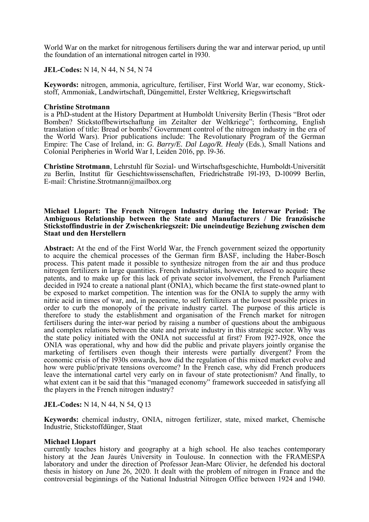World War on the market for nitrogenous fertilisers during the war and interwar period, up until the foundation of an international nitrogen cartel in 1930.

**JEL-Codes:** N 14, N 44, N 54, N 74

**Keywords:** nitrogen, ammonia, agriculture, fertiliser, First World War, war economy, Stickstoff, Ammoniak, Landwirtschaft, Düngemittel, Erster Weltkrieg, Kriegswirtschaft

#### **Christine Strotmann**

is a PhD-student at the History Department at Humboldt University Berlin (Thesis "Brot oder Bomben? Stickstoffbewirtschaftung im Zeitalter der Weltkriege"; forthcoming, English translation of title: Bread or bombs? Government control of the nitrogen industry in the era of the World Wars). Prior publications include: The Revolutionary Program of the German Empire: The Case of Ireland, in: *G. Barry/E. Dal Lago/R. Healy* (Eds.), Small Nations and Colonial Peripheries in World War I, Leiden 2016, pp. 19-36.

**Christine Strotmann**, Lehrstuhl für Sozial- und Wirtschaftsgeschichte, Humboldt-Universität zu Berlin, Institut für Geschichtswissenschaften, Friedrichstraße 191-193, D-10099 Berlin, E-mail: Christine.Strotmann@mailbox.org

#### **Michael Llopart: The French Nitrogen Industry during the Interwar Period: The Ambiguous Relationship between the State and Manufacturers / Die französische Stickstoffindustrie in der Zwischenkriegszeit: Die uneindeutige Beziehung zwischen dem Staat und den Herstellern**

**Abstract:** At the end of the First World War, the French government seized the opportunity to acquire the chemical processes of the German firm BASF, including the Haber-Bosch process. This patent made it possible to synthesize nitrogen from the air and thus produce nitrogen fertilizers in large quantities. French industrialists, however, refused to acquire these patents, and to make up for this lack of private sector involvement, the French Parliament decided in 1924 to create a national plant (ONIA), which became the first state-owned plant to be exposed to market competition. The intention was for the ONIA to supply the army with nitric acid in times of war, and, in peacetime, to sell fertilizers at the lowest possible prices in order to curb the monopoly of the private industry cartel. The purpose of this article is therefore to study the establishment and organisation of the French market for nitrogen fertilisers during the inter-war period by raising a number of questions about the ambiguous and complex relations between the state and private industry in this strategic sector. Why was the state policy initiated with the ONIA not successful at first? From  $[927-1928]$ , once the ONIA was operational, why and how did the public and private players jointly organise the marketing of fertilisers even though their interests were partially divergent? From the economic crisis of the 1930s onwards, how did the regulation of this mixed market evolve and how were public/private tensions overcome? In the French case, why did French producers leave the international cartel very early on in favour of state protectionism? And finally, to what extent can it be said that this "managed economy" framework succeeded in satisfying all the players in the French nitrogen industry?

**JEL-Codes:** N 14, N 44, N 54, Q 13

**Keywords:** chemical industry, ONIA, nitrogen fertilizer, state, mixed market, Chemische Industrie, Stickstoffdünger, Staat

#### **Michael Llopart**

currently teaches history and geography at a high school. He also teaches contemporary history at the Jean Jaurès University in Toulouse. In connection with the FRAMESPA laboratory and under the direction of Professor Jean-Marc Olivier, he defended his doctoral thesis in history on June 26, 2020. It dealt with the problem of nitrogen in France and the controversial beginnings of the National Industrial Nitrogen Office between 1924 and 1940.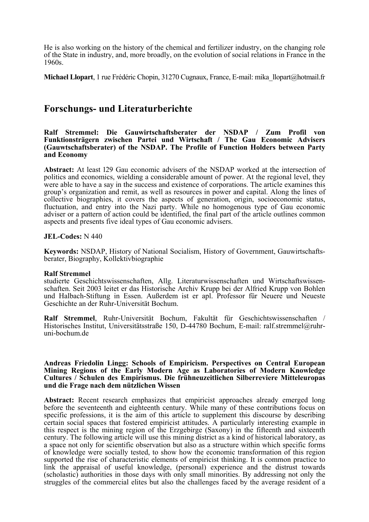He is also working on the history of the chemical and fertilizer industry, on the changing role of the State in industry, and, more broadly, on the evolution of social relations in France in the 1960s.

**Michael Llopart**, 1 rue Frédéric Chopin, 31270 Cugnaux, France, E-mail: mika\_llopart@hotmail.fr

## **Forschungs- und Literaturberichte**

**Ralf Stremmel: Die Gauwirtschaftsberater der NSDAP / Zum Profil von Funktionsträgern zwischen Partei und Wirtschaft / The Gau Economic Advisers (Gauwtschaftsberater) of the NSDAP. The Profile of Function Holders between Party and Economy** 

Abstract: At least 129 Gau economic advisers of the NSDAP worked at the intersection of politics and economics, wielding a considerable amount of power. At the regional level, they were able to have a say in the success and existence of corporations. The article examines this group's organization and remit, as well as resources in power and capital. Along the lines of collective biographies, it covers the aspects of generation, origin, socioeconomic status, fluctuation, and entry into the Nazi party. While no homogenous type of Gau economic adviser or a pattern of action could be identified, the final part of the article outlines common aspects and presents five ideal types of Gau economic advisers.

#### **JEL-Codes:** N 440

**Keywords:** NSDAP, History of National Socialism, History of Government, Gauwirtschaftsberater, Biography, Kollektivbiographie

#### **Ralf Stremmel**

studierte Geschichtswissenschaften, Allg. Literaturwissenschaften und Wirtschaftswissenschaften. Seit 2003 leitet er das Historische Archiv Krupp bei der Alfried Krupp von Bohlen und Halbach-Stiftung in Essen. Außerdem ist er apl. Professor für Neuere und Neueste Geschichte an der Ruhr-Universität Bochum.

**Ralf Stremmel**, Ruhr-Universität Bochum, Fakultät für Geschichtswissenschaften / Historisches Institut, Universitätsstraße 150, D-44780 Bochum, E-mail: ralf.stremmel@ruhruni-bochum.de

#### **Andreas Friedolin Lingg: Schools of Empiricism. Perspectives on Central European Mining Regions of the Early Modern Age as Laboratories of Modern Knowledge Cultures / Schulen des Empirismus. Die frühneuzeitlichen Silberreviere Mitteleuropas und die Frage nach dem nützlichen Wissen**

**Abstract:** Recent research emphasizes that empiricist approaches already emerged long before the seventeenth and eighteenth century. While many of these contributions focus on specific professions, it is the aim of this article to supplement this discourse by describing certain social spaces that fostered empiricist attitudes. A particularly interesting example in this respect is the mining region of the Erzgebirge (Saxony) in the fifteenth and sixteenth century. The following article will use this mining district as a kind of historical laboratory, as a space not only for scientific observation but also as a structure within which specific forms of knowledge were socially tested, to show how the economic transformation of this region supported the rise of characteristic elements of empiricist thinking. It is common practice to link the appraisal of useful knowledge, (personal) experience and the distrust towards (scholastic) authorities in those days with only small minorities. By addressing not only the struggles of the commercial elites but also the challenges faced by the average resident of a